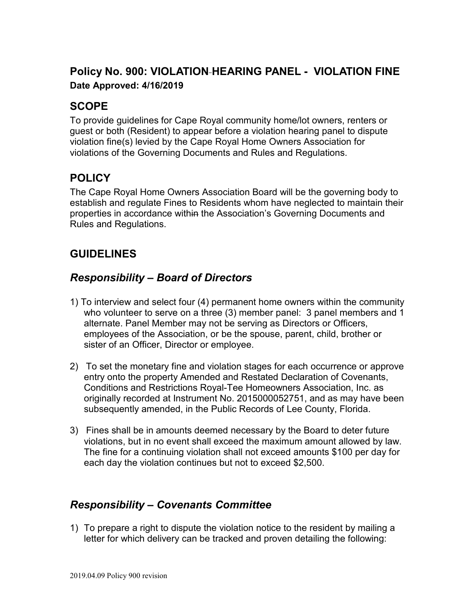# **Policy No. 900: VIOLATION HEARING PANEL - VIOLATION FINE Date Approved: 4/16/2019**

# **SCOPE**

To provide guidelines for Cape Royal community home/lot owners, renters or guest or both (Resident) to appear before a violation hearing panel to dispute violation fine(s) levied by the Cape Royal Home Owners Association for violations of the Governing Documents and Rules and Regulations.

# **POLICY**

The Cape Royal Home Owners Association Board will be the governing body to establish and regulate Fines to Residents whom have neglected to maintain their properties in accordance within the Association's Governing Documents and Rules and Regulations.

### **GUIDELINES**

### *Responsibility – Board of Directors*

- 1) To interview and select four (4) permanent home owners within the community who volunteer to serve on a three (3) member panel: 3 panel members and 1 alternate. Panel Member may not be serving as Directors or Officers, employees of the Association, or be the spouse, parent, child, brother or sister of an Officer, Director or employee.
- 2) To set the monetary fine and violation stages for each occurrence or approve entry onto the property Amended and Restated Declaration of Covenants, Conditions and Restrictions Royal-Tee Homeowners Association, Inc. as originally recorded at Instrument No. 2015000052751, and as may have been subsequently amended, in the Public Records of Lee County, Florida.
- 3) Fines shall be in amounts deemed necessary by the Board to deter future violations, but in no event shall exceed the maximum amount allowed by law. The fine for a continuing violation shall not exceed amounts \$100 per day for each day the violation continues but not to exceed \$2,500.

#### *Responsibility – Covenants Committee*

1) To prepare a right to dispute the violation notice to the resident by mailing a letter for which delivery can be tracked and proven detailing the following: